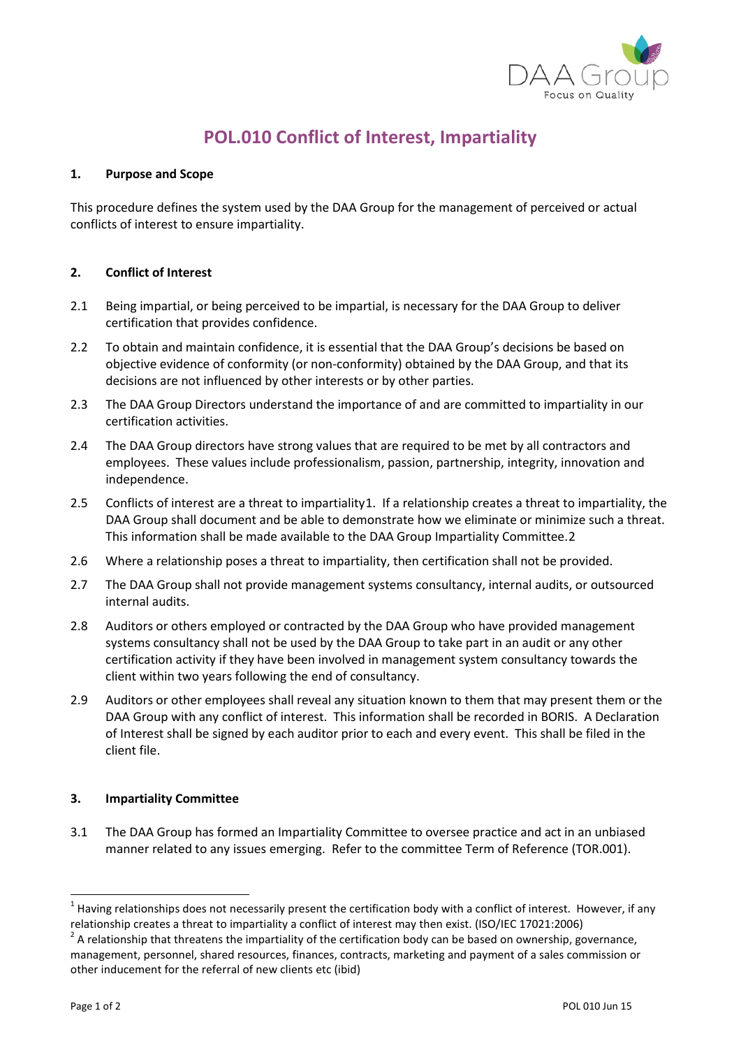

## **POL.010 Conflict of Interest, Impartiality**

## **1. Purpose and Scope**

This procedure defines the system used by the DAA Group for the management of perceived or actual conflicts of interest to ensure impartiality.

## **2. Conflict of Interest**

- 2.1 Being impartial, or being perceived to be impartial, is necessary for the DAA Group to deliver certification that provides confidence.
- 2.2 To obtain and maintain confidence, it is essential that the DAA Group's decisions be based on objective evidence of conformity (or non-conformity) obtained by the DAA Group, and that its decisions are not influenced by other interests or by other parties.
- 2.3 The DAA Group Directors understand the importance of and are committed to impartiality in our certification activities.
- 2.4 The DAA Group directors have strong values that are required to be met by all contractors and employees. These values include professionalism, passion, partnership, integrity, innovation and independence.
- 2.5 Conflicts of interest are a threat to impartiality[1](#page-0-0). If a relationship creates a threat to impartiality, the DAA Group shall document and be able to demonstrate how we eliminate or minimize such a threat. This information shall be made available to the DAA Group Impartiality Committee.[2](#page-0-1)
- 2.6 Where a relationship poses a threat to impartiality, then certification shall not be provided.
- 2.7 The DAA Group shall not provide management systems consultancy, internal audits, or outsourced internal audits.
- 2.8 Auditors or others employed or contracted by the DAA Group who have provided management systems consultancy shall not be used by the DAA Group to take part in an audit or any other certification activity if they have been involved in management system consultancy towards the client within two years following the end of consultancy.
- 2.9 Auditors or other employees shall reveal any situation known to them that may present them or the DAA Group with any conflict of interest. This information shall be recorded in BORIS. A Declaration of Interest shall be signed by each auditor prior to each and every event. This shall be filed in the client file.

## **3. Impartiality Committee**

3.1 The DAA Group has formed an Impartiality Committee to oversee practice and act in an unbiased manner related to any issues emerging. Refer to the committee Term of Reference (TOR.001).

<span id="page-0-0"></span> $<sup>1</sup>$  Having relationships does not necessarily present the certification body with a conflict of interest. However, if any</sup> relationship creates a threat to impartiality a conflict of interest may then exist. (ISO/IEC 17021:2006)<br><sup>2</sup> A relationship that threatens the impartiality of the certification body can be based on ownership, governance,

<span id="page-0-1"></span>management, personnel, shared resources, finances, contracts, marketing and payment of a sales commission or other inducement for the referral of new clients etc (ibid)